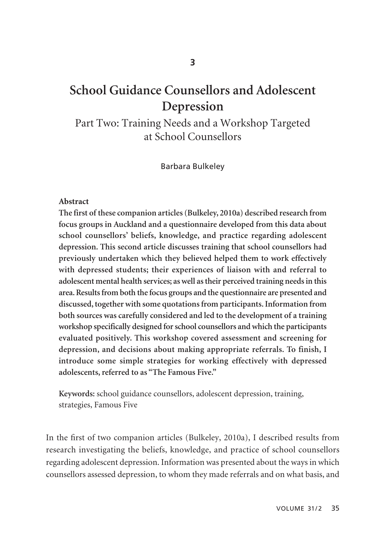# **School Guidance Counsellors and Adolescent Depression**

Part Two: Training Needs and a Workshop Targeted at School Counsellors

Barbara Bulkeley

#### **Abstract**

**The first of these companion articles (Bulkeley, 2010a) described research from focus groups in Auckland and a questionnaire developed from this data about school counsellors' beliefs, knowledge, and practice regarding adolescent depression. This second article discusses training that school counsellors had previously undertaken which they believed helped them to work effectively with depressed students; their experiences of liaison with and referral to adolescent mental health services; as well as their perceived training needs in this area. Results from both the focus groups and the questionnaire are presented and discussed, together with some quotations from participants. Information from both sources was carefully considered and led to the development of a training workshop specifically designed for school counsellors and which the participants evaluated positively. This workshop covered assessment and screening for depression, and decisions about making appropriate referrals. To finish, I introduce some simple strategies for working effectively with depressed adolescents, referred to as "The Famous Five."** 

**Keywords:** school guidance counsellors, adolescent depression, training, strategies, Famous Five

In the first of two companion articles (Bulkeley, 2010a), I described results from research investigating the beliefs, knowledge, and practice of school counsellors regarding adolescent depression. Information was presented about the ways in which counsellors assessed depression, to whom they made referrals and on what basis, and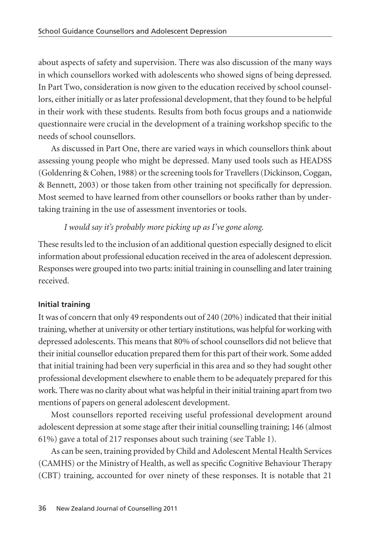about aspects of safety and supervision. There was also discussion of the many ways in which counsellors worked with adolescents who showed signs of being depressed. In Part Two, consideration is now given to the education received by school counsel lors, either initially or as later professional development, that they found to be helpful in their work with these students. Results from both focus groups and a nationwide questionnaire were crucial in the development of a training workshop specific to the needs of school counsellors.

As discussed in Part One, there are varied ways in which counsellors think about assessing young people who might be depressed. Many used tools such as HEADSS (Goldenring & Cohen, 1988) or the screening tools for Travellers (Dickinson, Coggan, & Bennett, 2003) or those taken from other training not specifically for depression. Most seemed to have learned from other counsellors or books rather than by under taking training in the use of assessment inventories or tools.

# *I would say it's probably more picking up as I've gone along.*

These results led to the inclusion of an additional question especially designed to elicit information about professional education received in the area of adolescent depression. Responses were grouped into two parts: initial training in counselling and later training received.

# **Initial training**

It was of concern that only 49 respondents out of 240 (20%) indicated that their initial training, whether at university or other tertiary institutions, was helpful for working with depressed adolescents. This means that 80% of school counsellors did not believe that their initial counsellor education prepared them for this part of their work. Some added that initial training had been very superficial in this area and so they had sought other professional development elsewhere to enable them to be adequately prepared for this work. There was no clarity about what was helpful in their initial training apart from two mentions of papers on general adolescent development.

Most counsellors reported receiving useful professional development around adolescent depression at some stage after their initial counselling training; 146 (almost 61%) gave a total of 217 responses about such training (see Table 1).

As can be seen, training provided by Child and Adolescent Mental Health Services (CAMHS) or the Ministry of Health, as well as specific Cognitive Behaviour Therapy (CBT) training, accounted for over ninety of these responses. It is notable that 21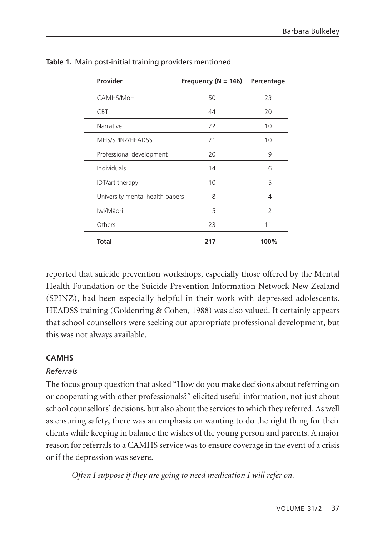| Provider                        | Frequency ( $N = 146$ ) | Percentage     |
|---------------------------------|-------------------------|----------------|
| CAMHS/MoH                       | 50                      | 23             |
| <b>CBT</b>                      | 44                      | 20             |
| Narrative                       | 22                      | 10             |
| MHS/SPINZ/HEADSS                | 21                      | 10             |
| Professional development        | 20                      | 9              |
| Individuals                     | 14                      | 6              |
| <b>IDT/art therapy</b>          | 10                      | 5              |
| University mental health papers | 8                       | 4              |
| Iwi/Māori                       | 5                       | $\overline{2}$ |
| Others                          | 23                      | 11             |
| <b>Total</b>                    | 217                     | 100%           |

**Table 1.** Main post-initial training providers mentioned

reported that suicide prevention workshops, especially those offered by the Mental Health Foundation or the Suicide Prevention Information Network New Zealand (SPINZ), had been especially helpful in their work with depressed adolescents. HEADSS training (Goldenring & Cohen, 1988) was also valued. It certainly appears that school counsellors were seeking out appropriate professional development, but this was not always available.

# **CAMHS**

# *Referrals*

The focus group question that asked "How do you make decisions about referring on or cooperating with other professionals?" elicited useful information, not just about school counsellors' decisions, but also about the services to which they referred. As well as ensuring safety, there was an emphasis on wanting to do the right thing for their clients while keeping in balance the wishes of the young person and parents. A major reason for referrals to a CAMHS service was to ensure coverage in the event of a crisis or if the depression was severe.

*Often I suppose if they are going to need medication I will refer on.*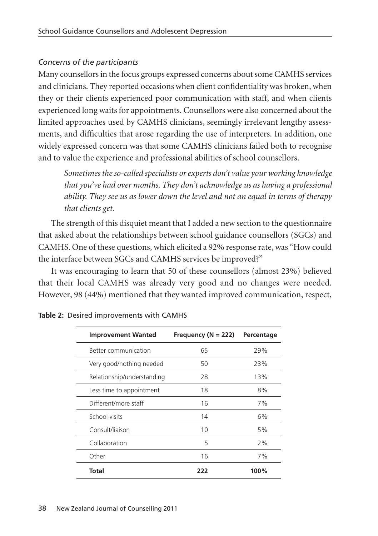# *Concerns of the participants*

Many counsellors in the focus groups expressed concerns about some CAMHS services and clinicians. They reported occasions when client confidentiality was broken, when they or their clients experienced poor communication with staff, and when clients experienced long waits for appointments. Counsellors were also concerned about the limited approaches used by CAMHS clinicians, seemingly irrelevant lengthy assess ments, and difficulties that arose regarding the use of interpreters. In addition, one widely expressed concern was that some CAMHS clinicians failed both to recognise and to value the experience and professional abilities of school counsellors.

*Sometimes the so-called specialists or experts don't value your working knowledge that you've had over months. They don't acknowledge us as having a professional ability. They see us as lower down the level and not an equal in terms of therapy that clients get.* 

The strength of this disquiet meant that I added a new section to the questionnaire that asked about the relationships between school guidance counsellors (SGCs) and CAMHS. One of these questions, which elicited a 92% response rate, was "How could the interface between SGCs and CAMHS services be improved?"

It was encouraging to learn that 50 of these counsellors (almost 23%) believed that their local CAMHS was already very good and no changes were needed. However, 98 (44%) mentioned that they wanted improved communication, respect,

| <b>Improvement Wanted</b>  | Frequency ( $N = 222$ ) | Percentage |
|----------------------------|-------------------------|------------|
| Better communication       | 65                      | 29%        |
| Very good/nothing needed   | 50                      | 23%        |
| Relationship/understanding | 28                      | 13%        |
| Less time to appointment   | 18                      | 8%         |
| Different/more staff       | 16                      | 7%         |
| School visits              | 14                      | 6%         |
| Consult/liaison            | 10                      | 5%         |
| Collaboration              | 5                       | 2%         |
| Other                      | 16                      | 7%         |
| <b>Total</b>               | 222                     | 100%       |

|  |  | Table 2: Desired improvements with CAMHS |  |  |
|--|--|------------------------------------------|--|--|
|--|--|------------------------------------------|--|--|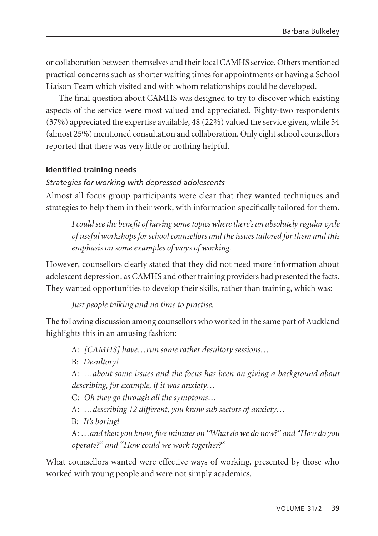or collabora tion between themselves and their local CAMHS service. Others mentioned practical concerns such as shorter waiting times for appointments or having a School Liaison Team which visited and with whom relationships could be developed.

The final question about CAMHS was designed to try to discover which existing aspects of the service were most valued and appreciated. Eighty-two respondents (37%) appreciated the expertise available, 48 (22%) valued the service given, while 54 (almost 25%) mentioned consultation and collaboration. Only eight school counsellors reported that there was very little or nothing helpful.

# **Identified training needs**

### *Strategies for working with depressed adolescents*

Almost all focus group participants were clear that they wanted techniques and strategies to help them in their work, with information specifically tailored for them.

*I could see the benefit of having some topics where there's an absolutely regular cycle of useful workshops for school counsellors and the issues tailored for them and this emphasis on some examples of ways of working.* 

However, counsellors clearly stated that they did not need more information about adolescent depression, as CAMHS and other training providers had presented the facts. They wanted opportunities to develop their skills, rather than training, which was:

*Just people talking and no time to practise.*

The following discussion among counsellors who worked in the same part of Auckland highlights this in an amusing fashion:

A: *[CAMHS] have…run some rather desultory sessions…*

B: *Desultory!* 

A: *…about some issues and the focus has been on giving a background about describing, for example, if it was anxiety…*

C: *Oh they go through all the symptoms…*

A: *…describing 12 different, you know sub sectors of anxiety…*

B: *It's boring!*

A: *…and then you know, five minutes on "What do we do now?" and "How do you operate?" and "How could we work together?"*

What counsellors wanted were effective ways of working, presented by those who worked with young people and were not simply academics.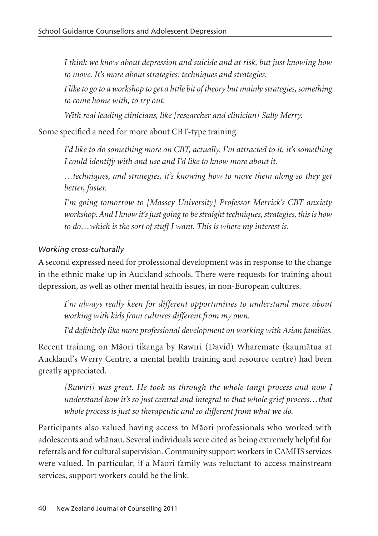*I think we know about depression and suicide and at risk, but just knowing how to move. It's more about strategies: techniques and strategies.* 

*I like to go to a workshop to get a little bit of theory but mainly strategies, something to come home with, to try out.* 

*With real leading clinicians, like [researcher and clinician] Sally Merry.*

Some specified a need for more about CBT-type training.

*I'd like to do something more on CBT, actually. I'm attracted to it, it's something I could identify with and use and I'd like to know more about it.* 

*…techniques, and strategies, it's knowing how to move them along so they get better, faster.*

*I'm going tomorrow to [Massey University] Professor Merrick's CBT anxiety work shop. And I know it's just going to be straight techniques, strategies, this is how to do…which is the sort of stuff I want. This is where my interest is.*

# *Working cross-culturally*

A second expressed need for professional development was in response to the change in the ethnic make-up in Auckland schools. There were requests for training about depression, as well as other mental health issues, in non-European cultures.

*I'm always really keen for different opportunities to understand more about working with kids from cultures different from my own.* 

*I'd definitely like more professional development on working with Asian families.* 

Recent training on Mäori tikanga by Rawiri (David) Wharemate (kaumätua at Auckland's Werry Centre, a mental health training and resource centre) had been greatly appreciated.

*[Rawiri] was great. He took us through the whole tangi process and now I understand how it's so just central and integral to that whole grief process…that whole process is just so therapeutic and so different from what we do.*

Participants also valued having access to Mäori professionals who worked with adolescents and whänau. Several individuals were cited as being extremely helpful for referrals and for cultural supervision. Community support workers in CAMHS services were valued. In particular, if a Mäori family was reluctant to access mainstream services, support workers could be the link.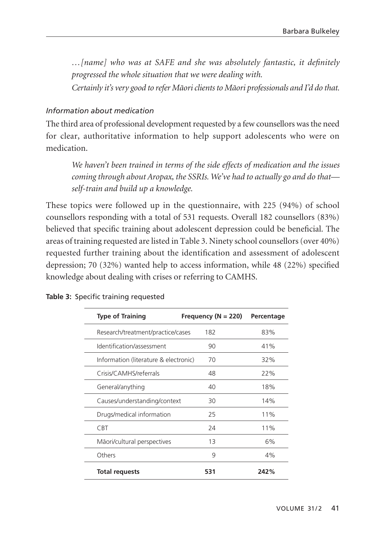*…[name] who was at SAFE and she was absolutely fantastic, it definitely progressed the whole situation that we were dealing with.* 

*Certainly it's very good to refer Mäori clients to Mäori professionals and I'd do that.* 

# *Information about medication*

The third area of professional development requested by a few counsellors was the need for clear, authoritative information to help support adolescents who were on medication.

*We haven't been trained in terms of the side effects of medication and the issues coming through about Aropax, the SSRIs. We've had to actually go and do that self-train and build up a knowledge.*

These topics were followed up in the questionnaire, with 225 (94%) of school counsellors responding with a total of 531 requests. Overall 182 counsellors (83%) believed that specific training about adolescent depression could be beneficial. The areas of training requested are listed in Table 3. Ninety school counsellors (over 40%) requested further training about the identification and assessment of adolescent depression; 70 (32%) wanted help to access information, while 48 (22%) specified knowledge about dealing with crises or referring to CAMHS.

| <b>Type of Training</b>               | Frequency ( $N = 220$ ) | Percentage |
|---------------------------------------|-------------------------|------------|
| Research/treatment/practice/cases     | 182                     | 83%        |
| Identification/assessment             | 90                      | 41%        |
| Information (literature & electronic) | 70                      | 32%        |
| Crisis/CAMHS/referrals                | 48                      | 22%        |
| General/anything                      | 40                      | 18%        |
| Causes/understanding/context          | 30                      | 14%        |
| Drugs/medical information             | 25                      | 11%        |
| <b>CBT</b>                            | 24                      | 11%        |
| Māori/cultural perspectives           | 13                      | 6%         |
| Others                                | 9                       | 4%         |
| <b>Total requests</b>                 | 531                     | 242%       |

| Table 3: Specific training requested |  |  |  |  |  |
|--------------------------------------|--|--|--|--|--|
|--------------------------------------|--|--|--|--|--|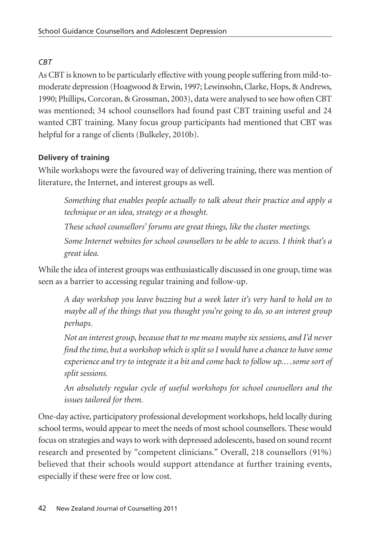# *CBT*

As CBT is known to be particularly effective with young people suffering from mild-tomoderate depression (Hoagwood & Erwin, 1997; Lewinsohn, Clarke, Hops, & Andrews, 1990; Phillips, Corcoran, & Grossman, 2003), data were analysed to see how often CBT was mentioned; 34 school counsellors had found past CBT training useful and 24 wanted CBT training. Many focus group participants had mentioned that CBT was helpful for a range of clients (Bulkeley, 2010b).

# **Delivery of training**

While workshops were the favoured way of delivering training, there was mention of literature, the Internet, and interest groups as well.

*Something that enables people actually to talk about their practice and apply a technique or an idea, strategy or a thought.*

*These school counsellors' forums are great things, like the cluster meetings. Some Internet websites for school counsellors to be able to access. I think that's a great idea.*

While the idea of interest groups was enthusiastically discussed in one group, time was seen as a barrier to accessing regular training and follow-up.

*A day workshop you leave buzzing but a week later it's very hard to hold on to maybe all of the things that you thought you're going to do, so an interest group perhaps.*

*Not an interest group, because that to me means maybe six sessions, and I'd never find the time, but a workshop which is split so I would have a chance to have some experience and try to integrate it a bit and come back to follow up.…some sort of split sessions.*

*An absolutely regular cycle of useful workshops for school counsellors and the issues tailored for them.*

One-day active, participatory professional development workshops, held locally during school terms, would appear to meet the needs of most school counsellors. These would focus on strategies and ways to work with depressed adolescents, based on sound recent research and presented by "competent clinicians." Overall, 218 counsellors (91%) believed that their schools would support attendance at further training events, especially if these were free or low cost.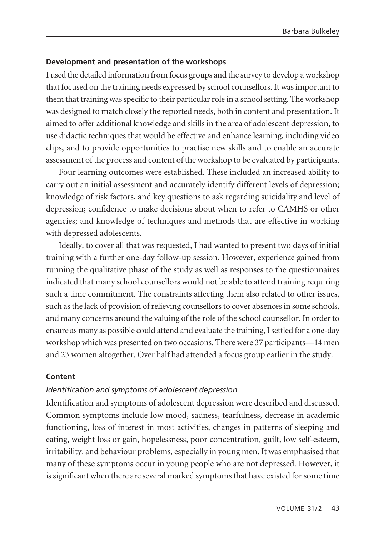#### **Development and presentation of the workshops**

I used the detailed information from focus groups and the survey to develop a workshop that focused on the training needs expressed by school counsellors. It was important to them that training was specific to their particular role in a school setting. The workshop was designed to match closely the reported needs, both in content and presentation. It aimed to offer additional knowledge and skills in the area of adolescent depression, to use didactic techniques that would be effective and enhance learning, including video clips, and to provide opportunities to practise new skills and to enable an accurate assessment of the process and content of the workshop to be evaluated by participants.

Four learning outcomes were established. These included an increased ability to carry out an initial assessment and accurately identify different levels of depression; knowledge of risk factors, and key questions to ask regarding suicidality and level of depression; confidence to make decisions about when to refer to CAMHS or other agencies; and knowledge of techniques and methods that are effective in working with depressed adolescents.

Ideally, to cover all that was requested, I had wanted to present two days of initial training with a further one-day follow-up session. However, experience gained from running the qualitative phase of the study as well as responses to the questionnaires indicated that many school counsellors would not be able to attend training requiring such a time commitment. The constraints affecting them also related to other issues, such as the lack of provision of relieving counsellors to cover absences in some schools, and many concerns around the valuing of the role of the school counsellor. In order to ensure as many as possible could attend and evaluate the training, I settled for a one-day workshop which was presented on two occasions. There were 37 participants—14 men and 23 women altogether. Over half had attended a focus group earlier in the study.

#### **Content**

#### *Identification and symptoms of adolescent depression*

Identification and symptoms of adolescent depression were described and discussed. Common symptoms include low mood, sadness, tearfulness, decrease in academic functioning, loss of interest in most activities, changes in patterns of sleeping and eating, weight loss or gain, hopelessness, poor concentration, guilt, low self-esteem, irritability, and behaviour problems, especially in young men. It was emphasised that many of these symptoms occur in young people who are not depressed. However, it is significant when there are several marked symptoms that have existed for some time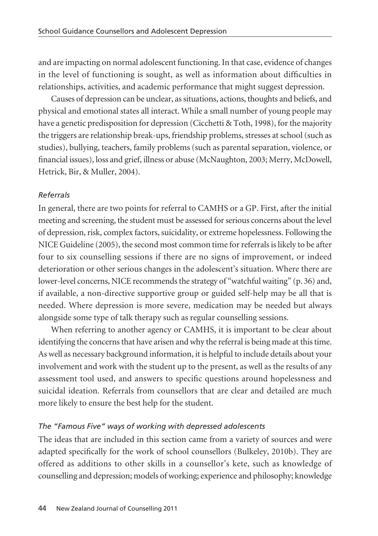and are impacting on normal adolescent functioning. In that case, evidence of changes in the level of functioning is sought, as well as information about difficulties in relationships, activities, and academic performance that might suggest depression.

Causes of depression can be unclear, as situations, actions, thoughts and beliefs, and physical and emotional states all interact. While a small number of young people may have a genetic predisposition for depression (Cicchetti & Toth, 1998), for the majority the triggers are relationship break-ups, friendship problems, stresses at school (such as studies), bullying, teachers, family problems (such as parental separation, violence, or financial issues), loss and grief, illness or abuse (McNaughton, 2003; Merry, McDowell, Hetrick, Bir, & Muller, 2004).

### *Referrals*

In general, there are two points for referral to CAMHS or a GP. First, after the initial meeting and screening, the student must be assessed for serious concerns about the level of depression, risk, complex factors, suicidality, or extreme hopelessness. Following the NICE Guideline (2005), the second most common time for referrals is likely to be after four to six counselling sessions if there are no signs of improvement, or indeed deterioration or other serious changes in the adolescent's situation. Where there are lower-level concerns, NICE recommends the strategy of "watchful waiting" (p. 36) and, if available, a non-directive supportive group or guided self-help may be all that is needed. Where depression is more severe, medication may be needed but always alongside some type of talk therapy such as regular counselling sessions.

When referring to another agency or CAMHS, it is important to be clear about identifying the concerns that have arisen and why the referral is being made at this time. As well as necessary background information, it is helpful to include details about your involvement and work with the student up to the present, as well as the results of any assessment tool used, and answers to specific questions around hopelessness and suicidal ideation. Referrals from counsellors that are clear and detailed are much more likely to ensure the best help for the student.

## *The "Famous Five" ways of working with depressed adolescents*

The ideas that are included in this section came from a variety of sources and were adapted specifically for the work of school counsellors (Bulkeley, 2010b). They are offered as additions to other skills in a counsellor's kete, such as knowledge of counselling and depression; models of working; experience and philosophy; knowledge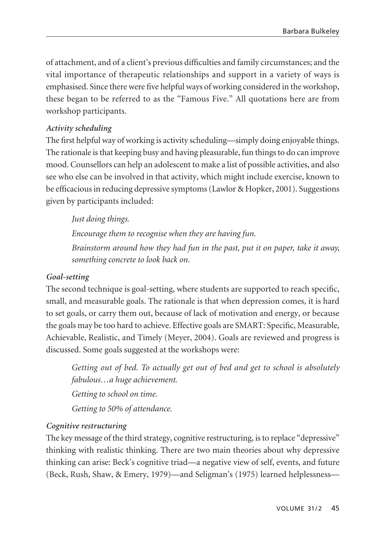of attachment, and of a client's previous difficulties and family circumstances; and the vital importance of therapeutic relationships and support in a variety of ways is emphasised. Since there were five helpful ways of working considered in the workshop, these began to be referred to as the "Famous Five." All quotations here are from workshop participants.

# *Activity scheduling*

The first helpful way of working is activity scheduling—simply doing enjoyable things. The rationale is that keeping busy and having pleasurable, fun things to do can improve mood. Counsellors can help an adolescent to make a list of possible activities, and also see who else can be involved in that activity, which might include exercise, known to be efficacious in reducing depressive symptoms (Lawlor & Hopker, 2001). Suggestions given by participants included:

*Just doing things.*

*Encourage them to recognise when they are having fun.* 

*Brainstorm around how they had fun in the past, put it on paper, take it away, something concrete to look back on.* 

### *Goal-setting*

The second technique is goal-setting, where students are supported to reach specific, small, and measurable goals. The rationale is that when depression comes, it is hard to set goals, or carry them out, because of lack of motivation and energy, or because the goals may be too hard to achieve. Effective goals are SMART: Specific, Measurable, Achievable, Realistic, and Timely (Meyer, 2004). Goals are reviewed and progress is discussed. Some goals suggested at the workshops were:

*Getting out of bed. To actually get out of bed and get to school is absolutely fabulous…a huge achievement. Getting to school on time.* 

*Getting to 50% of attendance.* 

# *Cognitive restructuring*

The key message of the third strategy, cognitive restructuring, is to replace "depressive" thinking with realistic thinking. There are two main theories about why depressive thinking can arise: Beck's cognitive triad—a negative view of self, events, and future (Beck, Rush, Shaw, & Emery, 1979)—and Seligman's (1975) learned helplessness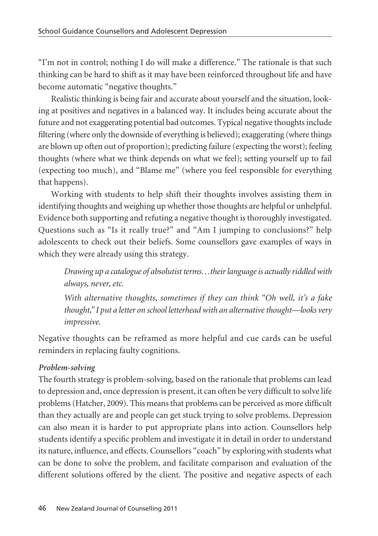"I'm not in control; nothing I do will make a difference." The rationale is that such thinking can be hard to shift as it may have been reinforced throughout life and have become automatic "negative thoughts."

Realistic thinking is being fair and accurate about yourself and the situation, looking at positives and negatives in a balanced way. It includes being accurate about the future and not exaggerating potential bad outcomes. Typical negative thoughts include filtering (where only the downside of everything is believed); exaggerating (where things are blown up often out of proportion); predicting failure (expecting the worst); feeling thoughts (where what we think depends on what we feel); setting yourself up to fail (expecting too much), and "Blame me" (where you feel responsible for everything that happens).

Working with students to help shift their thoughts involves assisting them in identifying thoughts and weighing up whether those thoughts are helpful or unhelpful. Evidence both supporting and refuting a negative thought is thoroughly investigated. Questions such as "Is it really true?" and "Am I jumping to conclusions?" help adolescents to check out their beliefs. Some counsellors gave examples of ways in which they were already using this strategy.

*Drawing up a catalogue of absolutist terms…their language is actually riddled with always, never, etc.*

*With alternative thoughts, sometimes if they can think "Oh well, it's a fake thought," I put a letter on school letterhead with an alternative thought—looks very impressive.*

Negative thoughts can be reframed as more helpful and cue cards can be useful reminders in replacing faulty cognitions.

# *Problem-solving*

The fourth strategy is problem-solving, based on the rationale that problems can lead to depression and, once depression is present, it can often be very difficult to solve life problems (Hatcher, 2009). This means that problems can be perceived as more difficult than they actually are and people can get stuck trying to solve problems. Depression can also mean it is harder to put appropriate plans into action. Counsellors help students identify a specific problem and investigate it in detail in order to understand its nature, influence, and effects. Counsellors "coach" by exploring with students what can be done to solve the problem, and facilitate comparison and evaluation of the different solutions offered by the client. The positive and negative aspects of each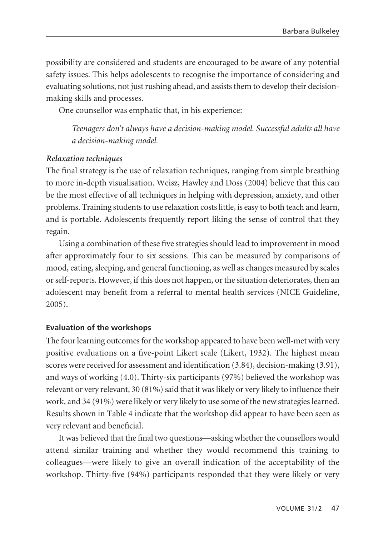possibility are considered and students are encouraged to be aware of any potential safety issues. This helps adolescents to recognise the importance of considering and evaluating solutions, not just rushing ahead, and assists them to develop their decisionmaking skills and processes.

One counsellor was emphatic that, in his experience:

*Teenagers don't always have a decision-making model. Successful adults all have a decision-making model.*

### *Relaxation techniques*

The final strategy is the use of relaxation techniques, ranging from simple breathing to more in-depth visualisation. Weisz, Hawley and Doss (2004) believe that this can be the most effective of all techniques in helping with depression, anxiety, and other problems. Training students to use relaxation costs little, is easy to both teach and learn, and is portable. Adolescents frequently report liking the sense of control that they regain.

Using a combination of these five strategies should lead to improvement in mood after approximately four to six sessions. This can be measured by comparisons of mood, eating, sleeping, and general functioning, as well as changes measured by scales or self-reports. However, if this does not happen, or the situation deteriorates, then an adolescent may benefit from a referral to mental health services (NICE Guideline, 2005).

### **Evaluation of the workshops**

The four learning outcomes for the workshop appeared to have been well-met with very positive evaluations on a five-point Likert scale (Likert, 1932). The highest mean scores were received for assessment and identification (3.84), decision-making (3.91), and ways of working (4.0). Thirty-six participants (97%) believed the workshop was relevant or very relevant, 30 (81%) said that it was likely or very likely to influence their work, and 34 (91%) were likely or very likely to use some of the new strategies learned. Results shown in Table 4 indicate that the workshop did appear to have been seen as very relevant and beneficial.

It was believed that the final two questions—asking whether the counsellors would attend similar training and whether they would recommend this training to colleagues—were likely to give an overall indication of the acceptability of the workshop. Thirty-five (94%) participants responded that they were likely or very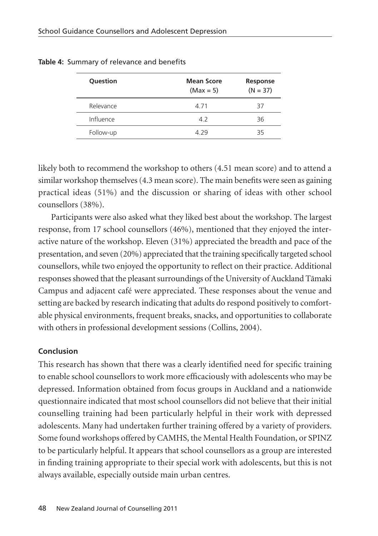| Question  | <b>Mean Score</b><br>$(Max = 5)$ | Response<br>$(N = 37)$ |
|-----------|----------------------------------|------------------------|
| Relevance | 4 7 1                            | 37                     |
| Influence | 4.2                              | 36                     |
| Follow-up | 4.29                             | 35                     |

**Table 4:** Summary of relevance and benefits

likely both to recommend the workshop to others (4.51 mean score) and to attend a similar workshop themselves (4.3 mean score). The main benefits were seen as gaining practical ideas (51%) and the discussion or sharing of ideas with other school counsellors (38%).

Participants were also asked what they liked best about the workshop. The largest response, from 17 school counsellors (46%), mentioned that they enjoyed the inter active nature of the workshop. Eleven (31%) appreciated the breadth and pace of the presentation, and seven (20%) appreciated that the training specifically targeted school counsellors, while two enjoyed the opportunity to reflect on their practice. Additional responses showed that the pleasant surroundings of the University of Auckland Tämaki Campus and adjacent café were appreciated. These responses about the venue and setting are backed by research indicating that adults do respond positively to comfortable physical environments, frequent breaks, snacks, and opportunities to collaborate with others in professional development sessions (Collins, 2004).

### **Conclusion**

This research has shown that there was a clearly identified need for specific training to enable school counsellors to work more efficaciously with adolescents who may be depressed. Information obtained from focus groups in Auckland and a nationwide questionnaire indicated that most school counsellors did not believe that their initial counselling training had been particularly helpful in their work with depressed adolescents. Many had undertaken further training offered by a variety of providers. Some found workshops offered by CAMHS, the Mental Health Foundation, or SPINZ to be particularly helpful. It appears that school counsellors as a group are interested in finding training appropriate to their special work with adolescents, but this is not always available, especially outside main urban centres.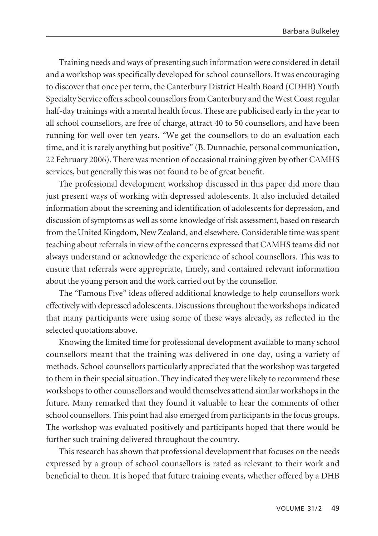Training needs and ways of presenting such information were considered in detail and a workshop was specifically developed for school counsellors. It was encouraging to discover that once per term, the Canterbury District Health Board (CDHB) Youth Specialty Service offers school counsellors from Canterbury and the West Coast regular half-day trainings with a mental health focus. These are publicised early in the year to all school counsellors, are free of charge, attract 40 to 50 counsellors, and have been running for well over ten years. "We get the counsellors to do an evaluation each time, and it is rarely anything but positive" (B. Dunnachie, personal communication, 22 February 2006). There was mention of occasional training given by other CAMHS services, but generally this was not found to be of great benefit.

The professional development workshop discussed in this paper did more than just present ways of working with depressed adolescents. It also included detailed information about the screening and identification of adolescents for depression, and discussion of symptoms as well as some knowledge of risk assessment, based on research from the United Kingdom, New Zealand, and elsewhere. Considerable time was spent teaching about referrals in view of the concerns expressed that CAMHS teams did not always understand or acknowledge the experience of school counsellors. This was to ensure that referrals were appropriate, timely, and contained relevant information about the young person and the work carried out by the counsellor.

The "Famous Five" ideas offered additional knowledge to help counsellors work effectively with depressed adolescents. Discussions throughout the workshops indicated that many participants were using some of these ways already, as reflected in the selected quotations above.

Knowing the limited time for professional development available to many school counsellors meant that the training was delivered in one day, using a variety of methods. School counsellors particularly appreciated that the workshop was targeted to them in their special situation. They indicated they were likely to recommend these workshops to other counsellors and would themselves attend similar workshops in the future. Many remarked that they found it valuable to hear the comments of other school counsellors. This point had also emerged from participants in the focus groups. The workshop was evaluated positively and participants hoped that there would be further such training delivered throughout the country.

This research has shown that professional development that focuses on the needs expressed by a group of school counsellors is rated as relevant to their work and beneficial to them. It is hoped that future training events, whether offered by a DHB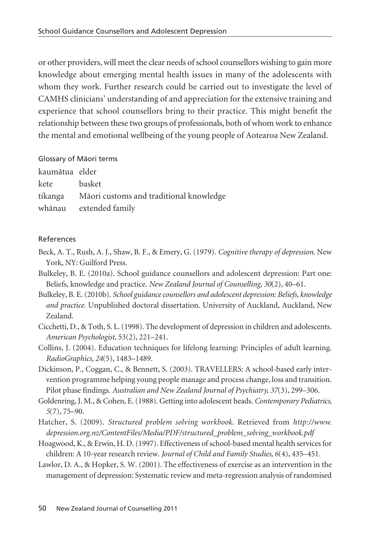or other providers, will meet the clear needs of school counsellors wishing to gain more knowledge about emerging mental health issues in many of the adolescents with whom they work. Further research could be carried out to investigate the level of CAMHS clinicians' understanding of and appreciation for the extensive training and experience that school counsellors bring to their practice. This might benefit the relationship between these two groups of professionals, both of whom work to enhance the mental and emotional wellbeing of the young people of Aotearoa New Zealand.

Glossary of Mäori terms

| kaumātua elder                                  |
|-------------------------------------------------|
| basket                                          |
| tikanga Māori customs and traditional knowledge |
| whānau extended family                          |
|                                                 |

# References

- Beck, A. T., Rush, A. J., Shaw, B. F., & Emery, G. (1979). *Cognitive therapy of depression*. New York, NY: Guilford Press.
- Bulkeley, B. E. (2010a). School guidance counsellors and adolescent depression: Part one: Beliefs, knowledge and practice. *New Zealand Journal of Counselling, 30*(2), 40–61.
- Bulkeley, B. E. (2010b). *School guidance counsellors and adolescent depression: Beliefs, knowledge and practice.* Unpublished doctoral dissertation. University of Auckland, Auckland, New Zealand.
- Cicchetti, D., & Toth, S. L. (1998). The development of depression in children and adolescents. *American Psychologist,* 53(2), 221–241.
- Collins, J. (2004). Education techniques for lifelong learning: Principles of adult learning. *RadioGraphics, 24*(5), 1483–1489.
- Dickinson, P., Coggan, C., & Bennett, S. (2003). TRAVELLERS: A school-based early intervention programme helping young people manage and process change, loss and transition. Pilot phase findings. *Australian and New Zealand Journal of Psychiatry, 37*(3), 299–306.
- Goldenring, J. M., & Cohen, E. (1988). Getting into adolescent heads. *Contemporary Pediatrics, 5*(7), 75–90.
- Hatcher, S. (2009). *Structured problem solving workbook*. Retrieved from *http://www. depression.org.nz/ContentFiles/Media/PDF/structured\_problem\_solving\_workbook.pdf*
- Hoagwood, K., & Erwin, H. D. (1997). Effectiveness of school-based mental health services for children: A 10-year research review. *Journal of Child and Family Studies, 6*(4), 435–451.
- Lawlor, D. A., & Hopker, S. W. (2001). The effectiveness of exercise as an intervention in the management of depression: Systematic review and meta-regression analysis of randomised